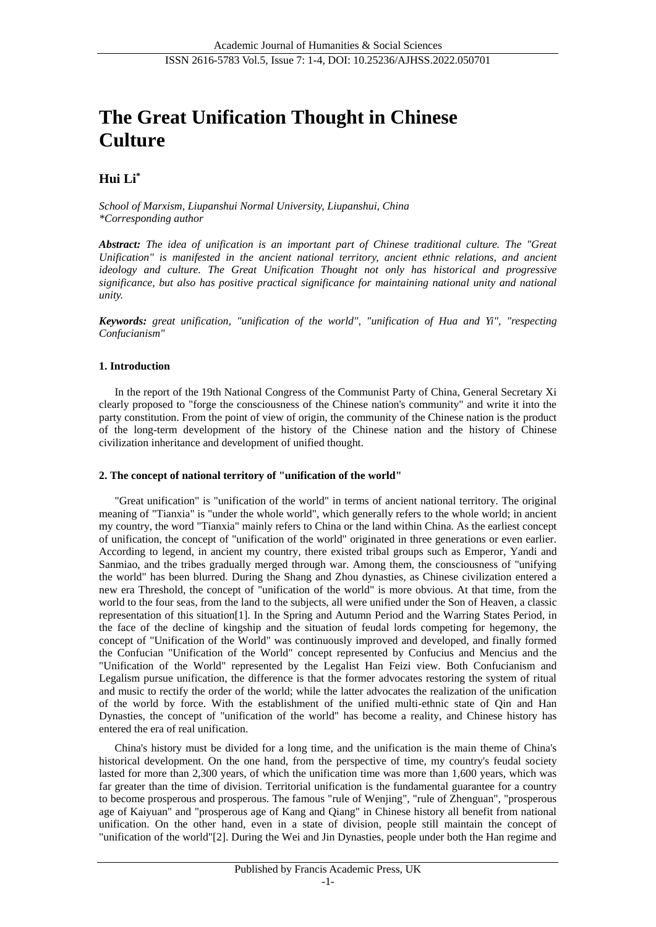# **The Great Unification Thought in Chinese Culture**

## **Hui Li\***

*School of Marxism, Liupanshui Normal University, Liupanshui, China \*Corresponding author*

*Abstract: The idea of unification is an important part of Chinese traditional culture. The "Great Unification" is manifested in the ancient national territory, ancient ethnic relations, and ancient ideology and culture. The Great Unification Thought not only has historical and progressive significance, but also has positive practical significance for maintaining national unity and national unity.*

*Keywords: great unification, "unification of the world", "unification of Hua and Yi", "respecting Confucianism"*

#### **1. Introduction**

In the report of the 19th National Congress of the Communist Party of China, General Secretary Xi clearly proposed to "forge the consciousness of the Chinese nation's community" and write it into the party constitution. From the point of view of origin, the community of the Chinese nation is the product of the long-term development of the history of the Chinese nation and the history of Chinese civilization inheritance and development of unified thought.

#### **2. The concept of national territory of "unification of the world"**

"Great unification" is "unification of the world" in terms of ancient national territory. The original meaning of "Tianxia" is "under the whole world", which generally refers to the whole world; in ancient my country, the word "Tianxia" mainly refers to China or the land within China. As the earliest concept of unification, the concept of "unification of the world" originated in three generations or even earlier. According to legend, in ancient my country, there existed tribal groups such as Emperor, Yandi and Sanmiao, and the tribes gradually merged through war. Among them, the consciousness of "unifying the world" has been blurred. During the Shang and Zhou dynasties, as Chinese civilization entered a new era Threshold, the concept of "unification of the world" is more obvious. At that time, from the world to the four seas, from the land to the subjects, all were unified under the Son of Heaven, a classic representation of this situation[1]. In the Spring and Autumn Period and the Warring States Period, in the face of the decline of kingship and the situation of feudal lords competing for hegemony, the concept of "Unification of the World" was continuously improved and developed, and finally formed the Confucian "Unification of the World" concept represented by Confucius and Mencius and the "Unification of the World" represented by the Legalist Han Feizi view. Both Confucianism and Legalism pursue unification, the difference is that the former advocates restoring the system of ritual and music to rectify the order of the world; while the latter advocates the realization of the unification of the world by force. With the establishment of the unified multi-ethnic state of Qin and Han Dynasties, the concept of "unification of the world" has become a reality, and Chinese history has entered the era of real unification.

China's history must be divided for a long time, and the unification is the main theme of China's historical development. On the one hand, from the perspective of time, my country's feudal society lasted for more than 2,300 years, of which the unification time was more than 1,600 years, which was far greater than the time of division. Territorial unification is the fundamental guarantee for a country to become prosperous and prosperous. The famous "rule of Wenjing", "rule of Zhenguan", "prosperous age of Kaiyuan" and "prosperous age of Kang and Qiang" in Chinese history all benefit from national unification. On the other hand, even in a state of division, people still maintain the concept of "unification of the world"[2]. During the Wei and Jin Dynasties, people under both the Han regime and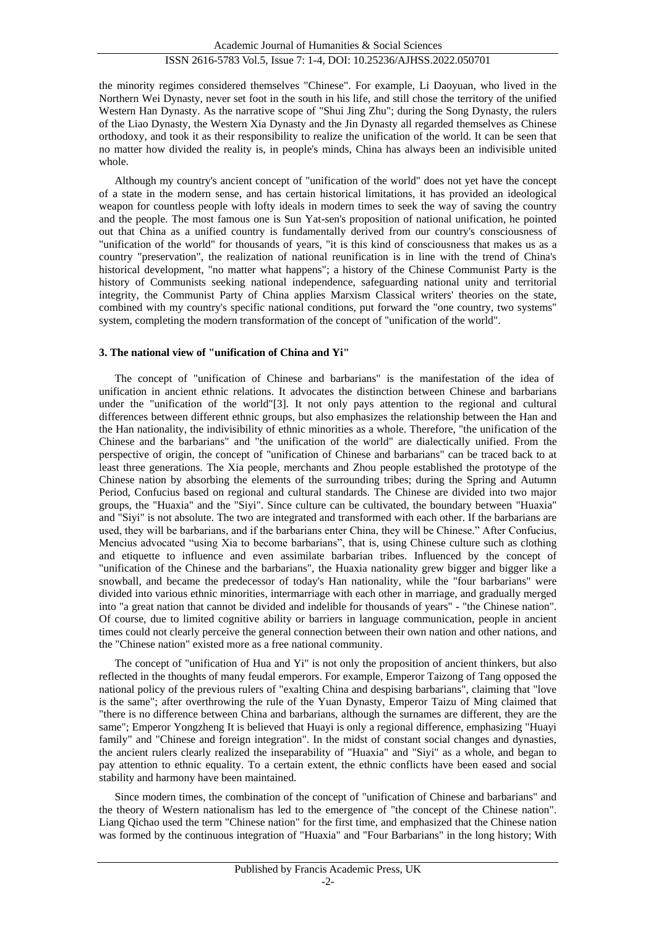the minority regimes considered themselves "Chinese". For example, Li Daoyuan, who lived in the Northern Wei Dynasty, never set foot in the south in his life, and still chose the territory of the unified Western Han Dynasty. As the narrative scope of "Shui Jing Zhu"; during the Song Dynasty, the rulers of the Liao Dynasty, the Western Xia Dynasty and the Jin Dynasty all regarded themselves as Chinese orthodoxy, and took it as their responsibility to realize the unification of the world. It can be seen that no matter how divided the reality is, in people's minds, China has always been an indivisible united whole.

Although my country's ancient concept of "unification of the world" does not yet have the concept of a state in the modern sense, and has certain historical limitations, it has provided an ideological weapon for countless people with lofty ideals in modern times to seek the way of saving the country and the people. The most famous one is Sun Yat-sen's proposition of national unification, he pointed out that China as a unified country is fundamentally derived from our country's consciousness of "unification of the world" for thousands of years, "it is this kind of consciousness that makes us as a country "preservation", the realization of national reunification is in line with the trend of China's historical development, "no matter what happens"; a history of the Chinese Communist Party is the history of Communists seeking national independence, safeguarding national unity and territorial integrity, the Communist Party of China applies Marxism Classical writers' theories on the state, combined with my country's specific national conditions, put forward the "one country, two systems" system, completing the modern transformation of the concept of "unification of the world".

#### **3. The national view of "unification of China and Yi"**

The concept of "unification of Chinese and barbarians" is the manifestation of the idea of unification in ancient ethnic relations. It advocates the distinction between Chinese and barbarians under the "unification of the world"[3]. It not only pays attention to the regional and cultural differences between different ethnic groups, but also emphasizes the relationship between the Han and the Han nationality, the indivisibility of ethnic minorities as a whole. Therefore, "the unification of the Chinese and the barbarians" and "the unification of the world" are dialectically unified. From the perspective of origin, the concept of "unification of Chinese and barbarians" can be traced back to at least three generations. The Xia people, merchants and Zhou people established the prototype of the Chinese nation by absorbing the elements of the surrounding tribes; during the Spring and Autumn Period, Confucius based on regional and cultural standards. The Chinese are divided into two major groups, the "Huaxia" and the "Siyi". Since culture can be cultivated, the boundary between "Huaxia" and "Siyi" is not absolute. The two are integrated and transformed with each other. If the barbarians are used, they will be barbarians, and if the barbarians enter China, they will be Chinese." After Confucius, Mencius advocated "using Xia to become barbarians", that is, using Chinese culture such as clothing and etiquette to influence and even assimilate barbarian tribes. Influenced by the concept of "unification of the Chinese and the barbarians", the Huaxia nationality grew bigger and bigger like a snowball, and became the predecessor of today's Han nationality, while the "four barbarians" were divided into various ethnic minorities, intermarriage with each other in marriage, and gradually merged into "a great nation that cannot be divided and indelible for thousands of years" - "the Chinese nation". Of course, due to limited cognitive ability or barriers in language communication, people in ancient times could not clearly perceive the general connection between their own nation and other nations, and the "Chinese nation" existed more as a free national community.

The concept of "unification of Hua and Yi" is not only the proposition of ancient thinkers, but also reflected in the thoughts of many feudal emperors. For example, Emperor Taizong of Tang opposed the national policy of the previous rulers of "exalting China and despising barbarians", claiming that "love is the same"; after overthrowing the rule of the Yuan Dynasty, Emperor Taizu of Ming claimed that "there is no difference between China and barbarians, although the surnames are different, they are the same"; Emperor Yongzheng It is believed that Huayi is only a regional difference, emphasizing "Huayi family" and "Chinese and foreign integration". In the midst of constant social changes and dynasties, the ancient rulers clearly realized the inseparability of "Huaxia" and "Siyi" as a whole, and began to pay attention to ethnic equality. To a certain extent, the ethnic conflicts have been eased and social stability and harmony have been maintained.

Since modern times, the combination of the concept of "unification of Chinese and barbarians" and the theory of Western nationalism has led to the emergence of "the concept of the Chinese nation". Liang Qichao used the term "Chinese nation" for the first time, and emphasized that the Chinese nation was formed by the continuous integration of "Huaxia" and "Four Barbarians" in the long history; With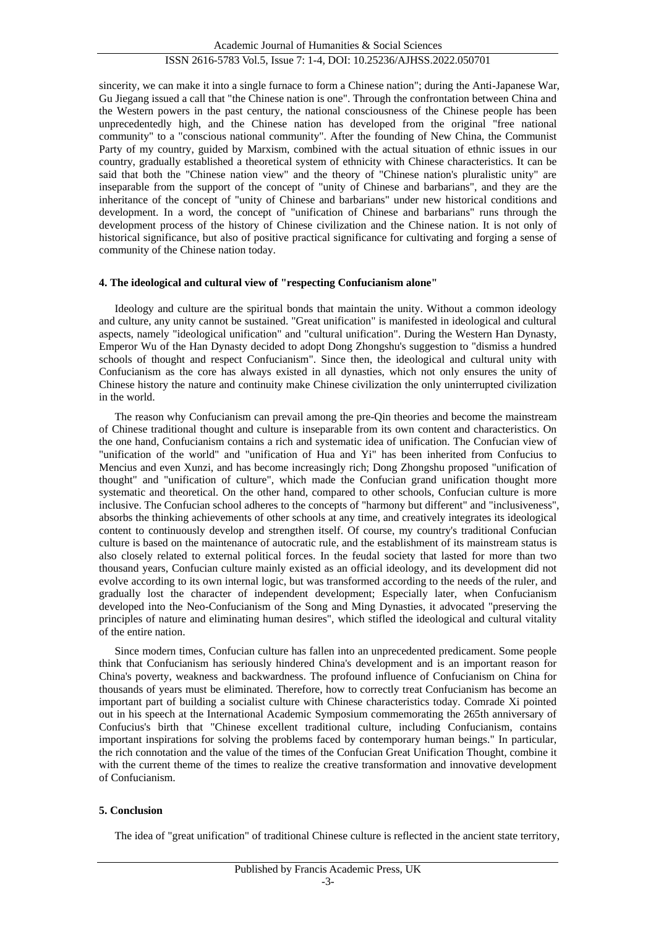sincerity, we can make it into a single furnace to form a Chinese nation"; during the Anti-Japanese War, Gu Jiegang issued a call that "the Chinese nation is one". Through the confrontation between China and the Western powers in the past century, the national consciousness of the Chinese people has been unprecedentedly high, and the Chinese nation has developed from the original "free national community" to a "conscious national community". After the founding of New China, the Communist Party of my country, guided by Marxism, combined with the actual situation of ethnic issues in our country, gradually established a theoretical system of ethnicity with Chinese characteristics. It can be said that both the "Chinese nation view" and the theory of "Chinese nation's pluralistic unity" are inseparable from the support of the concept of "unity of Chinese and barbarians", and they are the inheritance of the concept of "unity of Chinese and barbarians" under new historical conditions and development. In a word, the concept of "unification of Chinese and barbarians" runs through the development process of the history of Chinese civilization and the Chinese nation. It is not only of historical significance, but also of positive practical significance for cultivating and forging a sense of community of the Chinese nation today.

#### **4. The ideological and cultural view of "respecting Confucianism alone"**

Ideology and culture are the spiritual bonds that maintain the unity. Without a common ideology and culture, any unity cannot be sustained. "Great unification" is manifested in ideological and cultural aspects, namely "ideological unification" and "cultural unification". During the Western Han Dynasty, Emperor Wu of the Han Dynasty decided to adopt Dong Zhongshu's suggestion to "dismiss a hundred schools of thought and respect Confucianism". Since then, the ideological and cultural unity with Confucianism as the core has always existed in all dynasties, which not only ensures the unity of Chinese history the nature and continuity make Chinese civilization the only uninterrupted civilization in the world.

The reason why Confucianism can prevail among the pre-Qin theories and become the mainstream of Chinese traditional thought and culture is inseparable from its own content and characteristics. On the one hand, Confucianism contains a rich and systematic idea of unification. The Confucian view of "unification of the world" and "unification of Hua and Yi" has been inherited from Confucius to Mencius and even Xunzi, and has become increasingly rich; Dong Zhongshu proposed "unification of thought" and "unification of culture", which made the Confucian grand unification thought more systematic and theoretical. On the other hand, compared to other schools, Confucian culture is more inclusive. The Confucian school adheres to the concepts of "harmony but different" and "inclusiveness", absorbs the thinking achievements of other schools at any time, and creatively integrates its ideological content to continuously develop and strengthen itself. Of course, my country's traditional Confucian culture is based on the maintenance of autocratic rule, and the establishment of its mainstream status is also closely related to external political forces. In the feudal society that lasted for more than two thousand years, Confucian culture mainly existed as an official ideology, and its development did not evolve according to its own internal logic, but was transformed according to the needs of the ruler, and gradually lost the character of independent development; Especially later, when Confucianism developed into the Neo-Confucianism of the Song and Ming Dynasties, it advocated "preserving the principles of nature and eliminating human desires", which stifled the ideological and cultural vitality of the entire nation.

Since modern times, Confucian culture has fallen into an unprecedented predicament. Some people think that Confucianism has seriously hindered China's development and is an important reason for China's poverty, weakness and backwardness. The profound influence of Confucianism on China for thousands of years must be eliminated. Therefore, how to correctly treat Confucianism has become an important part of building a socialist culture with Chinese characteristics today. Comrade Xi pointed out in his speech at the International Academic Symposium commemorating the 265th anniversary of Confucius's birth that "Chinese excellent traditional culture, including Confucianism, contains important inspirations for solving the problems faced by contemporary human beings." In particular, the rich connotation and the value of the times of the Confucian Great Unification Thought, combine it with the current theme of the times to realize the creative transformation and innovative development of Confucianism.

#### **5. Conclusion**

The idea of "great unification" of traditional Chinese culture is reflected in the ancient state territory,